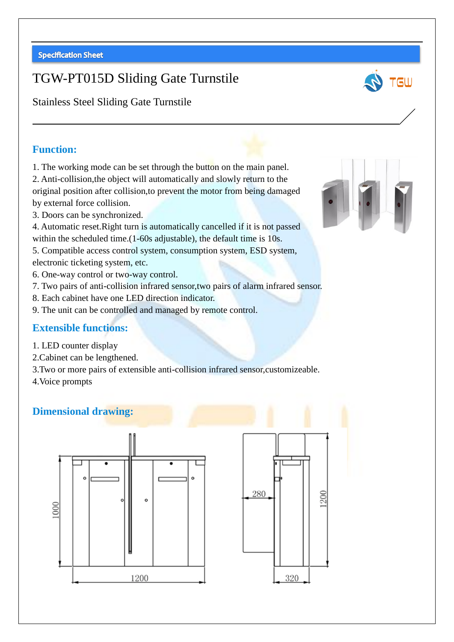# TGW-PT015D Sliding Gate Turnstile



Stainless Steel Sliding Gate Turnstile

### **Function:**

1. The working mode can be set through the button on the main panel.

2. Anti-collision,the object will automatically and slowly return to the original position after collision,to prevent the motor from being damaged by external force collision.

3. Doors can be synchronized.

4. Automatic reset.Right turn is automatically cancelled if it is not passed within the scheduled time.<sup>(1-60s adjustable)</sup>, the default time is 10s.

5. Compatible access control system, consumption system, ESD system, electronic ticketing system, etc.

- 6. One-way control or two-way control.
- 7. Two pairs of anti-collision infrared sensor,two pairs of alarm infrared sensor.
- 8. Each cabinet have one LED direction indicator.
- 9. The unit can be controlled and managed by remote control.

#### **Extensible functions:**

- 1. LED counter display
- 2.Cabinet can be lengthened.
- 3.Two or more pairs of extensible anti-collision infrared sensor,customizeable.
- 4.Voice prompts

### **Dimensional drawing:**